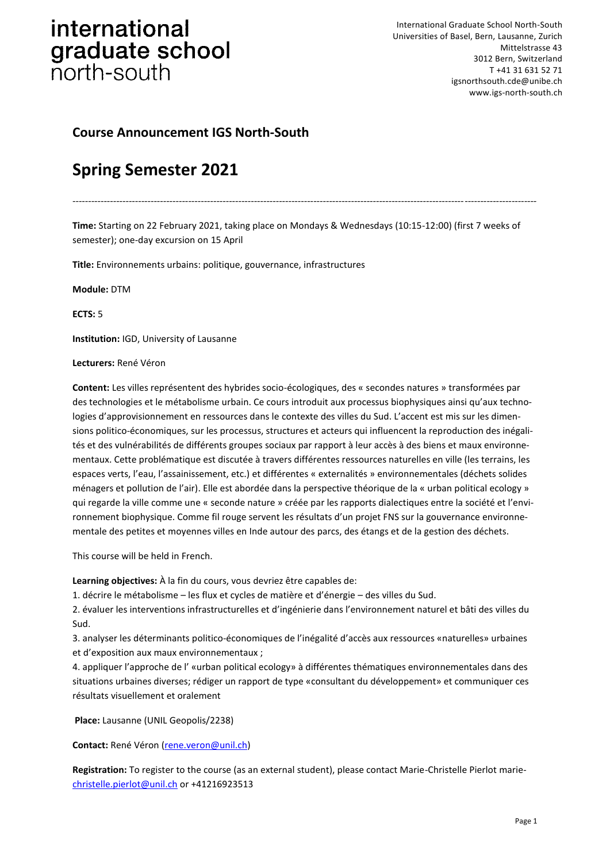International Graduate School North-South Universities of Basel, Bern, Lausanne, Zurich Mittelstrasse 43 3012 Bern, Switzerland T +41 31 631 52 71 igsnorthsouth.cde@unibe.ch www.igs-north-south.ch

### **Course Announcement IGS North-South**

### **Spring Semester 2021**

*----------------------------------------------------------------------------------------------------------------------------------------------------*

**Time:** Starting on 22 February 2021, taking place on Mondays & Wednesdays (10:15-12:00) (first 7 weeks of semester); one-day excursion on 15 April

**Title:** Environnements urbains: politique, gouvernance, infrastructures

**Module:** DTM

**ECTS:** 5

**Institution:** IGD, University of Lausanne

**Lecturers:** René Véron

**Content:** Les villes représentent des hybrides socio-écologiques, des « secondes natures » transformées par des technologies et le métabolisme urbain. Ce cours introduit aux processus biophysiques ainsi qu'aux technologies d'approvisionnement en ressources dans le contexte des villes du Sud. L'accent est mis sur les dimensions politico-économiques, sur les processus, structures et acteurs qui influencent la reproduction des inégalités et des vulnérabilités de différents groupes sociaux par rapport à leur accès à des biens et maux environnementaux. Cette problématique est discutée à travers différentes ressources naturelles en ville (les terrains, les espaces verts, l'eau, l'assainissement, etc.) et différentes « externalités » environnementales (déchets solides ménagers et pollution de l'air). Elle est abordée dans la perspective théorique de la « urban political ecology » qui regarde la ville comme une « seconde nature » créée par les rapports dialectiques entre la société et l'environnement biophysique. Comme fil rouge servent les résultats d'un projet FNS sur la gouvernance environnementale des petites et moyennes villes en Inde autour des parcs, des étangs et de la gestion des déchets.

This course will be held in French.

**Learning objectives:** À la fin du cours, vous devriez être capables de:

1. décrire le métabolisme – les flux et cycles de matière et d'énergie – des villes du Sud.

2. évaluer les interventions infrastructurelles et d'ingénierie dans l'environnement naturel et bâti des villes du Sud.

3. analyser les déterminants politico-économiques de l'inégalité d'accès aux ressources «naturelles» urbaines et d'exposition aux maux environnementaux ;

4. appliquer l'approche de l' «urban political ecology» à différentes thématiques environnementales dans des situations urbaines diverses; rédiger un rapport de type «consultant du développement» et communiquer ces résultats visuellement et oralement

**Place:** Lausanne (UNIL Geopolis/2238)

**Contact:** René Véron [\(rene.veron@unil.ch\)](rene.veron@unil.ch)

**Registration:** To register to the course (as an external student), please contact Marie-Christelle Pierlot marie[christelle.pierlot@unil.ch](christelle.pierlot@unil.ch%20) or +41216923513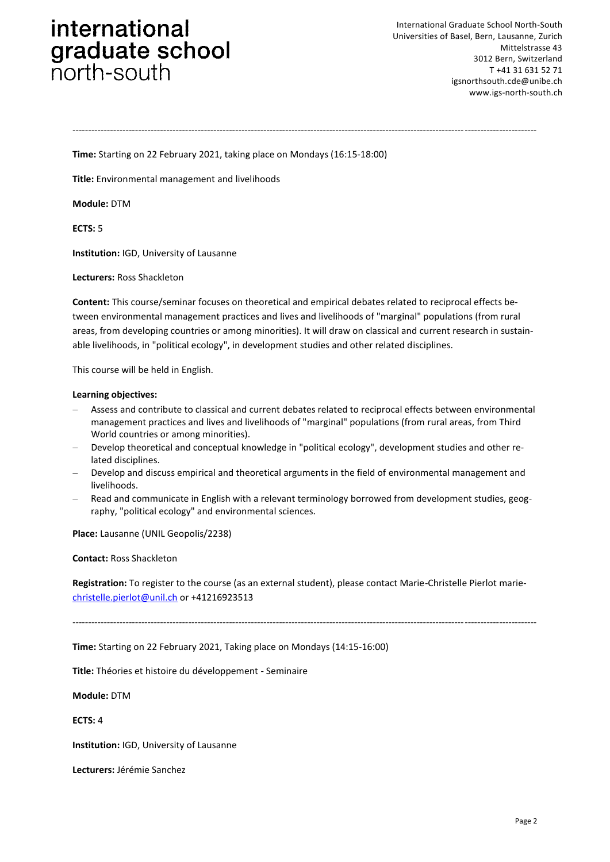International Graduate School North-South Universities of Basel, Bern, Lausanne, Zurich Mittelstrasse 43 3012 Bern, Switzerland T +41 31 631 52 71 igsnorthsouth.cde@unibe.ch www.igs-north-south.ch

*----------------------------------------------------------------------------------------------------------------------------------------------------*

**Time:** Starting on 22 February 2021, taking place on Mondays (16:15-18:00)

**Title:** Environmental management and livelihoods

**Module:** DTM

**ECTS:** 5

**Institution:** IGD, University of Lausanne

**Lecturers:** Ross Shackleton

**Content:** This course/seminar focuses on theoretical and empirical debates related to reciprocal effects between environmental management practices and lives and livelihoods of "marginal" populations (from rural areas, from developing countries or among minorities). It will draw on classical and current research in sustainable livelihoods, in "political ecology", in development studies and other related disciplines.

This course will be held in English.

#### **Learning objectives:**

- Assess and contribute to classical and current debates related to reciprocal effects between environmental management practices and lives and livelihoods of "marginal" populations (from rural areas, from Third World countries or among minorities).
- Develop theoretical and conceptual knowledge in "political ecology", development studies and other related disciplines.
- Develop and discuss empirical and theoretical arguments in the field of environmental management and livelihoods.
- Read and communicate in English with a relevant terminology borrowed from development studies, geography, "political ecology" and environmental sciences.

**Place:** Lausanne (UNIL Geopolis/2238)

**Contact:** Ross Shackleton

**Registration:** To register to the course (as an external student), please contact Marie-Christelle Pierlot marie[christelle.pierlot@unil.ch](christelle.pierlot@unil.ch%20) or +41216923513

*----------------------------------------------------------------------------------------------------------------------------------------------------*

**Time:** Starting on 22 February 2021, Taking place on Mondays (14:15-16:00)

**Title:** Théories et histoire du développement - Seminaire

**Module:** DTM

**ECTS:** 4

**Institution:** IGD, University of Lausanne

**Lecturers:** Jérémie Sanchez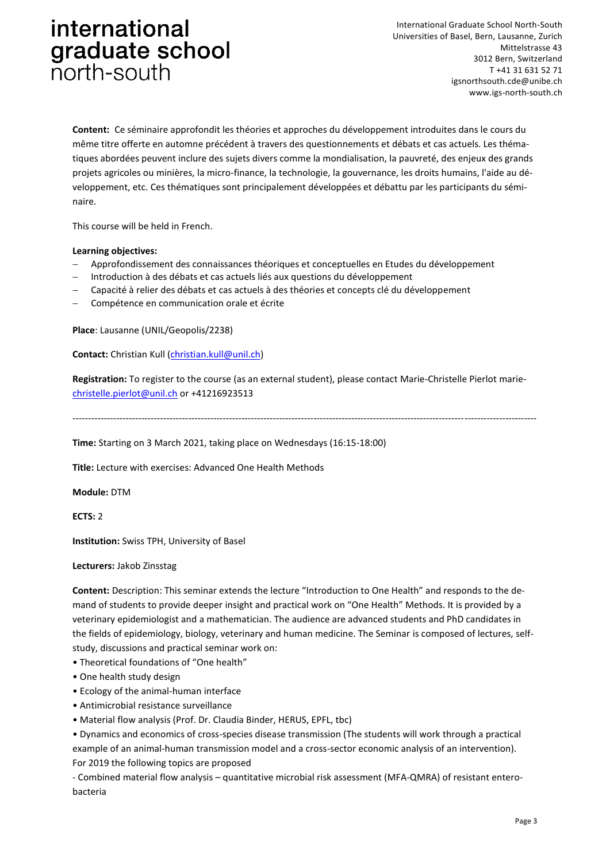International Graduate School North-South Universities of Basel, Bern, Lausanne, Zurich Mittelstrasse 43 3012 Bern, Switzerland T +41 31 631 52 71 igsnorthsouth.cde@unibe.ch www.igs-north-south.ch

**Content:** Ce séminaire approfondit les théories et approches du développement introduites dans le cours du même titre offerte en automne précédent à travers des questionnements et débats et cas actuels. Les thématiques abordées peuvent inclure des sujets divers comme la mondialisation, la pauvreté, des enjeux des grands projets agricoles ou minières, la micro-finance, la technologie, la gouvernance, les droits humains, l'aide au développement, etc. Ces thématiques sont principalement développées et débattu par les participants du séminaire.

This course will be held in French.

#### **Learning objectives:**

- Approfondissement des connaissances théoriques et conceptuelles en Etudes du développement
- Introduction à des débats et cas actuels liés aux questions du développement
- Capacité à relier des débats et cas actuels à des théories et concepts clé du développement
- Compétence en communication orale et écrite

**Place**: Lausanne (UNIL/Geopolis/2238)

**Contact:** Christian Kull [\(christian.kull@unil.ch\)](christian.kull@unil.ch)

**Registration:** To register to the course (as an external student), please contact Marie-Christelle Pierlot marie[christelle.pierlot@unil.ch](christelle.pierlot@unil.ch%20) or +41216923513

*----------------------------------------------------------------------------------------------------------------------------------------------------*

**Time:** Starting on 3 March 2021, taking place on Wednesdays (16:15-18:00)

**Title:** Lecture with exercises: Advanced One Health Methods

**Module:** DTM

**ECTS:** 2

**Institution:** Swiss TPH, University of Basel

**Lecturers:** Jakob Zinsstag

**Content:** Description: This seminar extends the lecture "Introduction to One Health" and responds to the demand of students to provide deeper insight and practical work on "One Health" Methods. It is provided by a veterinary epidemiologist and a mathematician. The audience are advanced students and PhD candidates in the fields of epidemiology, biology, veterinary and human medicine. The Seminar is composed of lectures, selfstudy, discussions and practical seminar work on:

• Theoretical foundations of "One health"

- One health study design
- Ecology of the animal-human interface
- Antimicrobial resistance surveillance
- Material flow analysis (Prof. Dr. Claudia Binder, HERUS, EPFL, tbc)
- Dynamics and economics of cross-species disease transmission (The students will work through a practical example of an animal-human transmission model and a cross-sector economic analysis of an intervention). For 2019 the following topics are proposed

- Combined material flow analysis – quantitative microbial risk assessment (MFA-QMRA) of resistant enterobacteria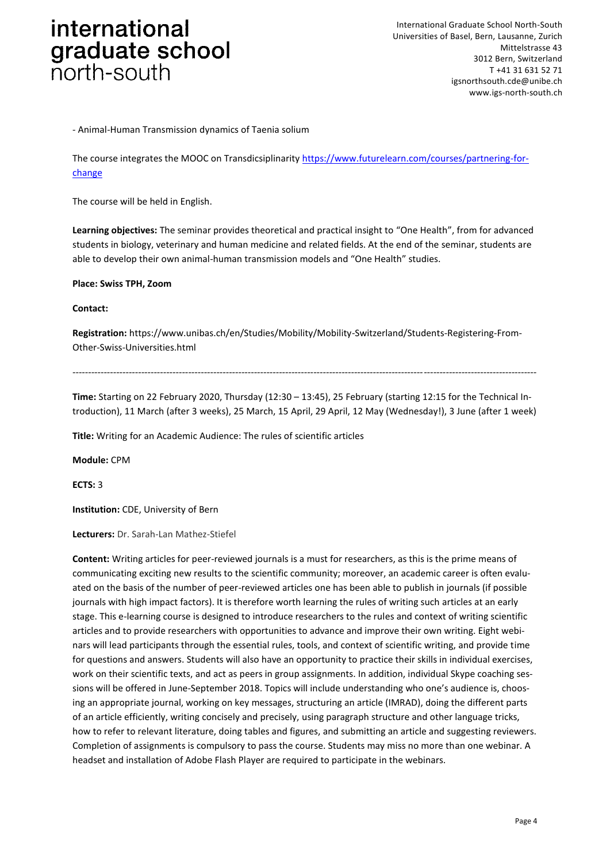- Animal-Human Transmission dynamics of Taenia solium

The course integrates the MOOC on Transdicsiplinarity [https://www.futurelearn.com/courses/partnering-for](https://www.futurelearn.com/courses/partnering-for-change)[change](https://www.futurelearn.com/courses/partnering-for-change)

The course will be held in English.

**Learning objectives:** The seminar provides theoretical and practical insight to "One Health", from for advanced students in biology, veterinary and human medicine and related fields. At the end of the seminar, students are able to develop their own animal-human transmission models and "One Health" studies.

**Place: Swiss TPH, Zoom**

#### **Contact:**

**Registration:** https://www.unibas.ch/en/Studies/Mobility/Mobility-Switzerland/Students-Registering-From-Other-Swiss-Universities.html

*----------------------------------------------------------------------------------------------------------------------------------------------------*

**Time:** Starting on 22 February 2020, Thursday (12:30 – 13:45), 25 February (starting 12:15 for the Technical Introduction), 11 March (after 3 weeks), 25 March, 15 April, 29 April, 12 May (Wednesday!), 3 June (after 1 week)

**Title:** Writing for an Academic Audience: The rules of scientific articles

**Module:** CPM

**ECTS:** 3

**Institution:** CDE, University of Bern

**Lecturers:** Dr. Sarah-Lan Mathez-Stiefel

**Content:** Writing articles for peer-reviewed journals is a must for researchers, as this is the prime means of communicating exciting new results to the scientific community; moreover, an academic career is often evaluated on the basis of the number of peer-reviewed articles one has been able to publish in journals (if possible journals with high impact factors). It is therefore worth learning the rules of writing such articles at an early stage. This e-learning course is designed to introduce researchers to the rules and context of writing scientific articles and to provide researchers with opportunities to advance and improve their own writing. Eight webinars will lead participants through the essential rules, tools, and context of scientific writing, and provide time for questions and answers. Students will also have an opportunity to practice their skills in individual exercises, work on their scientific texts, and act as peers in group assignments. In addition, individual Skype coaching sessions will be offered in June-September 2018. Topics will include understanding who one's audience is, choosing an appropriate journal, working on key messages, structuring an article (IMRAD), doing the different parts of an article efficiently, writing concisely and precisely, using paragraph structure and other language tricks, how to refer to relevant literature, doing tables and figures, and submitting an article and suggesting reviewers. Completion of assignments is compulsory to pass the course. Students may miss no more than one webinar. A headset and installation of Adobe Flash Player are required to participate in the webinars.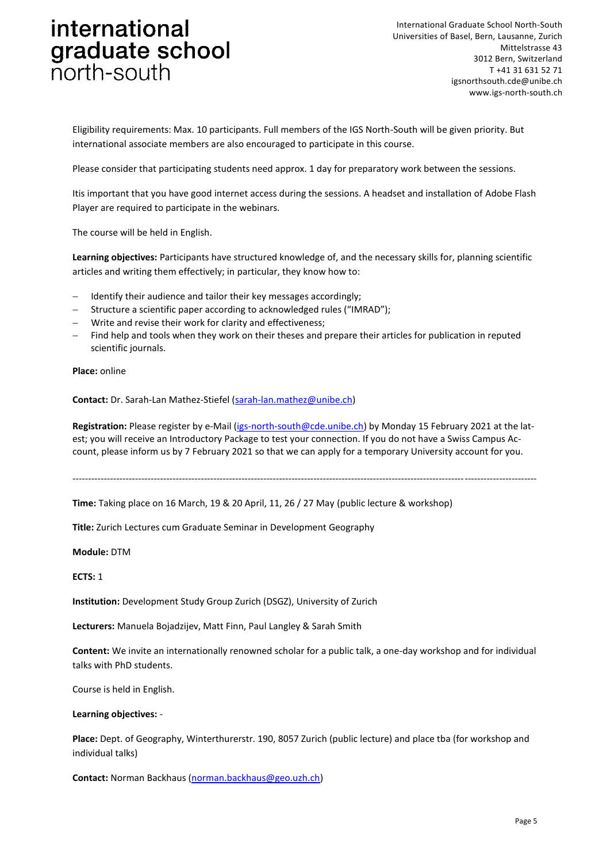International Graduate School North-South Universities of Basel, Bern, Lausanne, Zurich Mittelstrasse 43 3012 Bern, Switzerland T +41 31 631 52 71 igsnorthsouth.cde@unibe.ch www.igs-north-south.ch

Eligibility requirements: Max. 10 participants. Full members of the IGS North-South will be given priority. But international associate members are also encouraged to participate in this course.

Please consider that participating students need approx. 1 day for preparatory work between the sessions.

Itis important that you have good internet access during the sessions. A headset and installation of Adobe Flash Player are required to participate in the webinars.

The course will be held in English.

**Learning objectives:** Participants have structured knowledge of, and the necessary skills for, planning scientific articles and writing them effectively; in particular, they know how to:

- Identify their audience and tailor their key messages accordingly;
- Structure a scientific paper according to acknowledged rules ("IMRAD");
- Write and revise their work for clarity and effectiveness;
- Find help and tools when they work on their theses and prepare their articles for publication in reputed scientific journals.

**Place:** online

**Contact:** Dr. Sarah-Lan Mathez-Stiefel [\(sarah-lan.mathez@unibe.ch\)](sarah-lan.mathez@unibe.ch)

**Registration:** Please register by e-Mail [\(igs-north-south@cde.unibe.ch\)](igs-north-south@cde.unibe.ch) by Monday 15 February 2021 at the latest; you will receive an Introductory Package to test your connection. If you do not have a Swiss Campus Account, please inform us by 7 February 2021 so that we can apply for a temporary University account for you.

*----------------------------------------------------------------------------------------------------------------------------------------------------*

**Time:** Taking place on 16 March, 19 & 20 April, 11, 26 / 27 May (public lecture & workshop)

**Title:** Zurich Lectures cum Graduate Seminar in Development Geography

**Module:** DTM

**ECTS:** 1

**Institution:** Development Study Group Zurich (DSGZ), University of Zurich

**Lecturers:** Manuela Bojadzijev, Matt Finn, Paul Langley & Sarah Smith

**Content:** We invite an internationally renowned scholar for a public talk, a one-day workshop and for individual talks with PhD students.

Course is held in English.

**Learning objectives:** -

**Place:** Dept. of Geography, Winterthurerstr. 190, 8057 Zurich (public lecture) and place tba (for workshop and individual talks)

**Contact:** Norman Backhaus [\(norman.backhaus@geo.uzh.ch\)](norman.backhaus@geo.uzh.ch)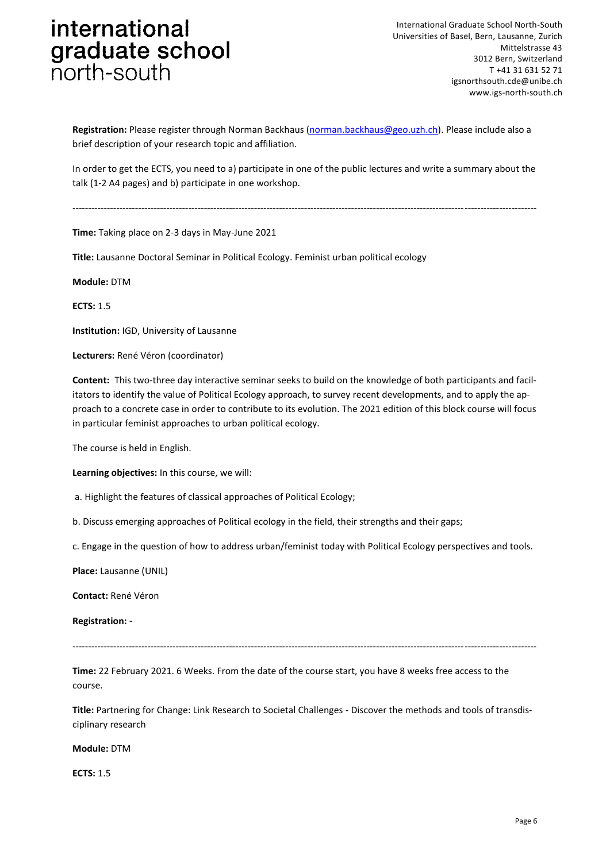**Registration:** Please register through Norman Backhaus [\(norman.backhaus@geo.uzh.ch\)](norman.backhaus@geo.uzh.ch). Please include also a brief description of your research topic and affiliation.

In order to get the ECTS, you need to a) participate in one of the public lectures and write a summary about the talk (1-2 A4 pages) and b) participate in one workshop.

*----------------------------------------------------------------------------------------------------------------------------------------------------*

**Time:** Taking place on 2-3 days in May-June 2021

**Title:** Lausanne Doctoral Seminar in Political Ecology. Feminist urban political ecology

**Module:** DTM

**ECTS:** 1.5

**Institution:** IGD, University of Lausanne

**Lecturers:** René Véron (coordinator)

**Content:** This two-three day interactive seminar seeks to build on the knowledge of both participants and facilitators to identify the value of Political Ecology approach, to survey recent developments, and to apply the approach to a concrete case in order to contribute to its evolution. The 2021 edition of this block course will focus in particular feminist approaches to urban political ecology.

The course is held in English.

**Learning objectives:** In this course, we will:

a. Highlight the features of classical approaches of Political Ecology;

b. Discuss emerging approaches of Political ecology in the field, their strengths and their gaps;

c. Engage in the question of how to address urban/feminist today with Political Ecology perspectives and tools.

**Place:** Lausanne (UNIL)

**Contact:** René Véron

**Registration:** -

*----------------------------------------------------------------------------------------------------------------------------------------------------*

**Time:** 22 February 2021. 6 Weeks. From the date of the course start, you have 8 weeks free access to the course.

**Title:** Partnering for Change: Link Research to Societal Challenges - Discover the methods and tools of transdisciplinary research

**Module:** DTM

**ECTS:** 1.5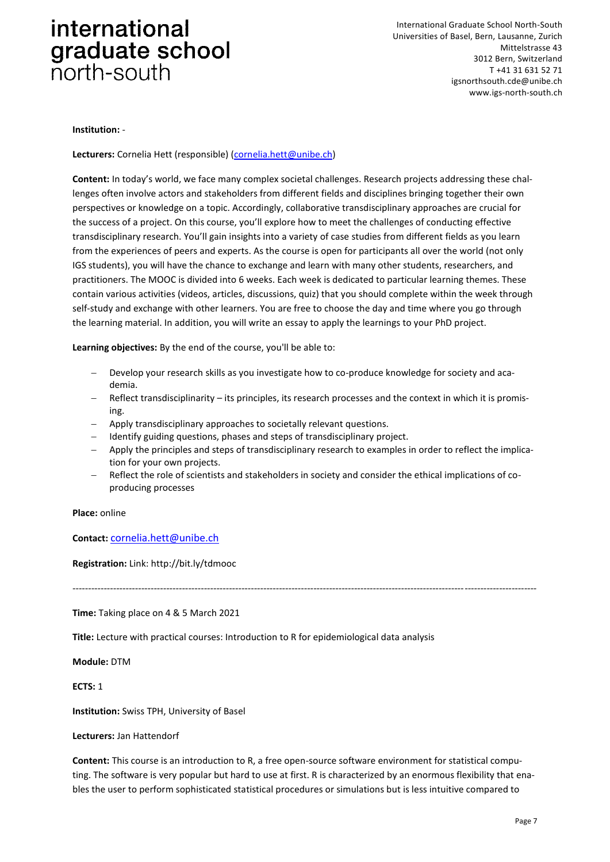International Graduate School North-South Universities of Basel, Bern, Lausanne, Zurich Mittelstrasse 43 3012 Bern, Switzerland T +41 31 631 52 71 igsnorthsouth.cde@unibe.ch www.igs-north-south.ch

#### **Institution:** -

**Lecturers:** Cornelia Hett (responsible) [\(cornelia.hett@unibe.ch\)](cornelia.hett@unibe.ch)

**Content:** In today's world, we face many complex societal challenges. Research projects addressing these challenges often involve actors and stakeholders from different fields and disciplines bringing together their own perspectives or knowledge on a topic. Accordingly, collaborative transdisciplinary approaches are crucial for the success of a project. On this course, you'll explore how to meet the challenges of conducting effective transdisciplinary research. You'll gain insights into a variety of case studies from different fields as you learn from the experiences of peers and experts. As the course is open for participants all over the world (not only IGS students), you will have the chance to exchange and learn with many other students, researchers, and practitioners. The MOOC is divided into 6 weeks. Each week is dedicated to particular learning themes. These contain various activities (videos, articles, discussions, quiz) that you should complete within the week through self-study and exchange with other learners. You are free to choose the day and time where you go through the learning material. In addition, you will write an essay to apply the learnings to your PhD project.

**Learning objectives:** By the end of the course, you'll be able to:

- Develop your research skills as you investigate how to co-produce knowledge for society and academia.
- Reflect transdisciplinarity its principles, its research processes and the context in which it is promising.
- Apply transdisciplinary approaches to societally relevant questions.
- Identify guiding questions, phases and steps of transdisciplinary project.
- Apply the principles and steps of transdisciplinary research to examples in order to reflect the implication for your own projects.
- Reflect the role of scientists and stakeholders in society and consider the ethical implications of coproducing processes

*----------------------------------------------------------------------------------------------------------------------------------------------------*

**Place:** online

**Contact:** <cornelia.hett@unibe.ch>

**Registration:** Link: http://bit.ly/tdmooc

**Time:** Taking place on 4 & 5 March 2021

**Title:** Lecture with practical courses: Introduction to R for epidemiological data analysis

**Module:** DTM

**ECTS:** 1

**Institution:** Swiss TPH, University of Basel

**Lecturers:** Jan Hattendorf

**Content:** This course is an introduction to R, a free open-source software environment for statistical computing. The software is very popular but hard to use at first. R is characterized by an enormous flexibility that enables the user to perform sophisticated statistical procedures or simulations but is less intuitive compared to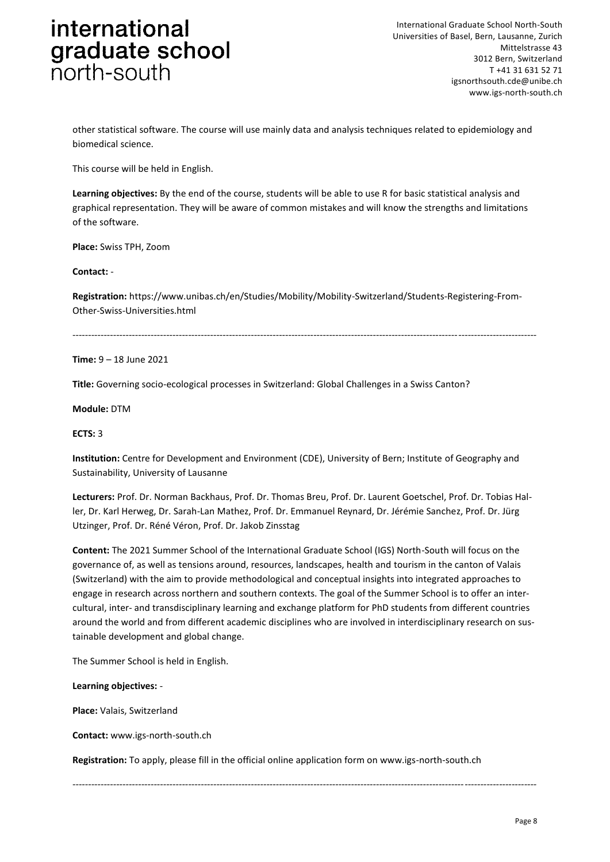other statistical software. The course will use mainly data and analysis techniques related to epidemiology and biomedical science.

This course will be held in English.

**Learning objectives:** By the end of the course, students will be able to use R for basic statistical analysis and graphical representation. They will be aware of common mistakes and will know the strengths and limitations of the software.

**Place:** Swiss TPH, Zoom

**Contact:** -

**Registration:** https://www.unibas.ch/en/Studies/Mobility/Mobility-Switzerland/Students-Registering-From-Other-Swiss-Universities.html

----------------------------------------------------------------------------------------------------------------------------------------------------

**Time:** 9 – 18 June 2021

**Title:** Governing socio-ecological processes in Switzerland: Global Challenges in a Swiss Canton?

**Module:** DTM

**ECTS:** 3

**Institution:** Centre for Development and Environment (CDE), University of Bern; Institute of Geography and Sustainability, University of Lausanne

**Lecturers:** Prof. Dr. Norman Backhaus, Prof. Dr. Thomas Breu, Prof. Dr. Laurent Goetschel, Prof. Dr. Tobias Haller, Dr. Karl Herweg, Dr. Sarah-Lan Mathez, Prof. Dr. Emmanuel Reynard, Dr. Jérémie Sanchez, Prof. Dr. Jürg Utzinger, Prof. Dr. Réné Véron, Prof. Dr. Jakob Zinsstag

**Content:** The 2021 Summer School of the International Graduate School (IGS) North-South will focus on the governance of, as well as tensions around, resources, landscapes, health and tourism in the canton of Valais (Switzerland) with the aim to provide methodological and conceptual insights into integrated approaches to engage in research across northern and southern contexts. The goal of the Summer School is to offer an intercultural, inter- and transdisciplinary learning and exchange platform for PhD students from different countries around the world and from different academic disciplines who are involved in interdisciplinary research on sustainable development and global change.

The Summer School is held in English.

**Learning objectives:** -

**Place:** Valais, Switzerland

**Contact:** www.igs-north-south.ch

**Registration:** To apply, please fill in the official online application form on www.igs-north-south.ch

*----------------------------------------------------------------------------------------------------------------------------------------------------*